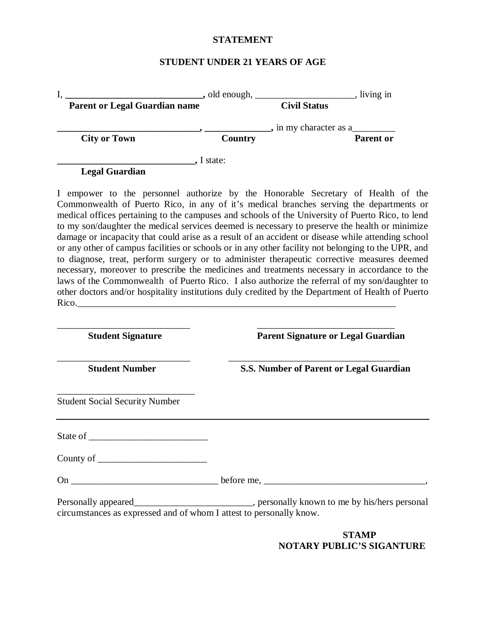## **STATEMENT**

## **STUDENT UNDER 21 YEARS OF AGE**

|                                                                                                                                                                                             | $\Box$ , old enough, $\Box$ | living in              |
|---------------------------------------------------------------------------------------------------------------------------------------------------------------------------------------------|-----------------------------|------------------------|
| <b>Parent or Legal Guardian name</b>                                                                                                                                                        |                             | <b>Civil Status</b>    |
|                                                                                                                                                                                             |                             | , in my character as a |
| <b>City or Town</b>                                                                                                                                                                         | Country                     | Parent or              |
|                                                                                                                                                                                             | I state:                    |                        |
| <b>Legal Guardian</b>                                                                                                                                                                       |                             |                        |
| I empower to the personnel authorize by the Honorable Secretary of Health of the                                                                                                            |                             |                        |
| Commonwealth of Puerto Rico, in any of it's medical branches serving the departments or<br>modical offices pertaining to the campuses and schools of the University of Puerto Rico, to land |                             |                        |

 medical offices pertaining to the campuses and schools of the University of Puerto Rico, to lend to my son/daughter the medical services deemed is necessary to preserve the health or minimize damage or incapacity that could arise as a result of an accident or disease while attending school or any other of campus facilities or schools or in any other facility not belonging to the UPR, and to diagnose, treat, perform surgery or to administer therapeutic corrective measures deemed necessary, moreover to prescribe the medicines and treatments necessary in accordance to the laws of the Commonwealth of Puerto Rico. I also authorize the referral of my son/daughter to other doctors and/or hospitality institutions duly credited by the Department of Health of Puerto Rico.

| <b>Student Signature</b>                                            | <b>Parent Signature or Legal Guardian</b> |
|---------------------------------------------------------------------|-------------------------------------------|
| <b>Student Number</b>                                               | S.S. Number of Parent or Legal Guardian   |
| <b>Student Social Security Number</b>                               |                                           |
|                                                                     |                                           |
|                                                                     |                                           |
|                                                                     |                                           |
| circumstances as expressed and of whom I attest to personally know. |                                           |
|                                                                     | STAMP                                     |

**NOTARY PUBLIC'S SIGANTURE**